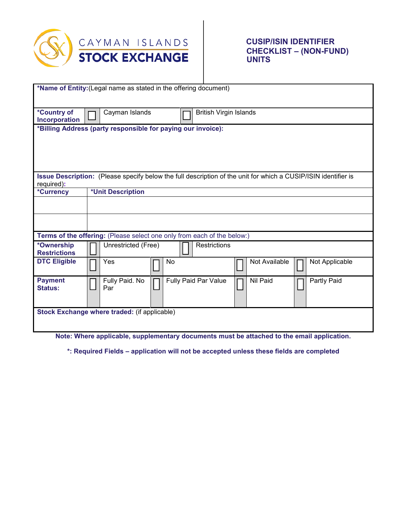

## **CUSIP/ISIN IDENTIFIER CHECKLIST – (NON-FUND) UNITS**

|                                                                         | *Name of Entity: (Legal name as stated in the offering document)                                               |
|-------------------------------------------------------------------------|----------------------------------------------------------------------------------------------------------------|
|                                                                         |                                                                                                                |
|                                                                         |                                                                                                                |
| *Country of                                                             | <b>British Virgin Islands</b><br>Cayman Islands                                                                |
| Incorporation                                                           |                                                                                                                |
| *Billing Address (party responsible for paying our invoice):            |                                                                                                                |
|                                                                         |                                                                                                                |
|                                                                         |                                                                                                                |
|                                                                         |                                                                                                                |
|                                                                         |                                                                                                                |
| required):                                                              | Issue Description: (Please specify below the full description of the unit for which a CUSIP/ISIN identifier is |
| *Currency                                                               | *Unit Description                                                                                              |
|                                                                         |                                                                                                                |
|                                                                         |                                                                                                                |
|                                                                         |                                                                                                                |
|                                                                         |                                                                                                                |
| Terms of the offering: (Please select one only from each of the below:) |                                                                                                                |
| *Ownership                                                              | Restrictions<br>Unrestricted (Free)                                                                            |
| <b>Restrictions</b>                                                     |                                                                                                                |
| <b>DTC Eligible</b>                                                     | Not Available<br>Yes<br>No<br>Not Applicable                                                                   |
|                                                                         |                                                                                                                |
| <b>Payment</b>                                                          | Partly Paid<br>Fully Paid. No<br>Fully Paid Par Value<br>Nil Paid                                              |
| <b>Status:</b>                                                          | Par                                                                                                            |
|                                                                         |                                                                                                                |
| Stock Exchange where traded: (if applicable)                            |                                                                                                                |
|                                                                         |                                                                                                                |
|                                                                         |                                                                                                                |
|                                                                         | Note: Where applicable, supplementary documents must be attached to the email application.                     |

**\*: Required Fields – application will not be accepted unless these fields are completed**